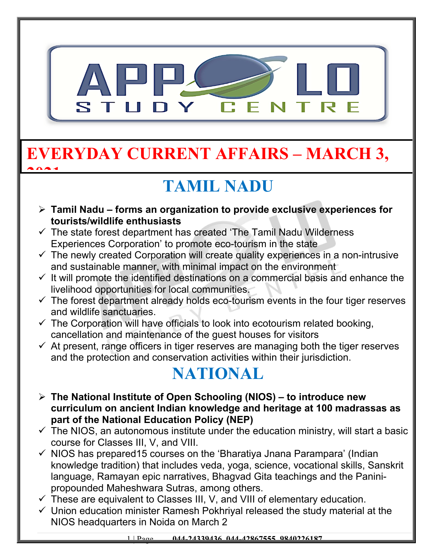

## **EVERYDAY CURRENT AFFAIRS – MARCH 3, 2021**

# **TAMIL NADU**

- **Tamil Nadu forms an organization to provide exclusive experiences for tourists/wildlife enthusiasts**
- $\checkmark$  The state forest department has created 'The Tamil Nadu Wilderness Experiences Corporation' to promote eco-tourism in the state
- $\checkmark$  The newly created Corporation will create quality experiences in a non-intrusive and sustainable manner, with minimal impact on the environment
- $\checkmark$  It will promote the identified destinations on a commercial basis and enhance the livelihood opportunities for local communities.
- $\checkmark$  The forest department already holds eco-tourism events in the four tiger reserves and wildlife sanctuaries.
- $\checkmark$  The Corporation will have officials to look into ecotourism related booking, cancellation and maintenance of the guest houses for visitors
- $\checkmark$  At present, range officers in tiger reserves are managing both the tiger reserves and the protection and conservation activities within their jurisdiction.

## **NATIONAL**

- **The National Institute of Open Schooling (NIOS) to introduce new curriculum on ancient Indian knowledge and heritage at 100 madrassas as part of the National Education Policy (NEP)**
- $\checkmark$  The NIOS, an autonomous institute under the education ministry, will start a basic course for Classes III, V, and VIII.
- $\checkmark$  NIOS has prepared15 courses on the 'Bharatiya Jnana Parampara' (Indian knowledge tradition) that includes veda, yoga, science, vocational skills, Sanskrit language, Ramayan epic narratives, Bhagvad Gita teachings and the Paninipropounded Maheshwara Sutras, among others.
- $\checkmark$  These are equivalent to Classes III, V, and VIII of elementary education.
- $\checkmark$  Union education minister Ramesh Pokhriyal released the study material at the NIOS headquarters in Noida on March 2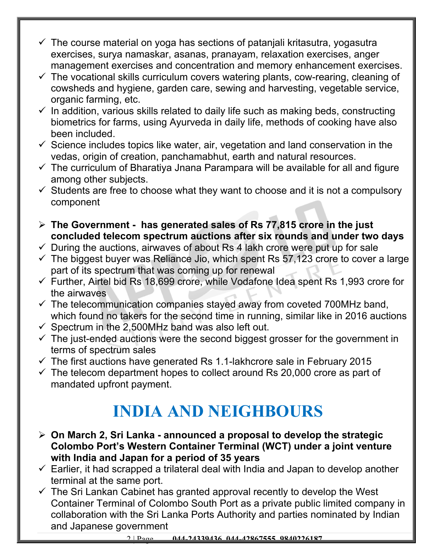- $\checkmark$  The course material on yoga has sections of patanjali kritasutra, yogasutra exercises, surya namaskar, asanas, pranayam, relaxation exercises, anger management exercises and concentration and memory enhancement exercises.
- $\checkmark$  The vocational skills curriculum covers watering plants, cow-rearing, cleaning of cowsheds and hygiene, garden care, sewing and harvesting, vegetable service, organic farming, etc.
- $\checkmark$  In addition, various skills related to daily life such as making beds, constructing biometrics for farms, using Ayurveda in daily life, methods of cooking have also been included.
- $\checkmark$  Science includes topics like water, air, vegetation and land conservation in the vedas, origin of creation, panchamabhut, earth and natural resources.
- $\checkmark$  The curriculum of Bharatiya Jnana Parampara will be available for all and figure among other subjects.
- $\checkmark$  Students are free to choose what they want to choose and it is not a compulsory component
- **The Government has generated sales of Rs 77,815 crore in the just concluded telecom spectrum auctions after six rounds and under two days**
- $\checkmark$  During the auctions, airwaves of about Rs 4 lakh crore were put up for sale
- $\checkmark$  The biggest buyer was Reliance Jio, which spent Rs 57,123 crore to cover a large part of its spectrum that was coming up for renewal
- $\checkmark$  Further, Airtel bid Rs 18,699 crore, while Vodafone Idea spent Rs 1,993 crore for the airwaves
- $\checkmark$  The telecommunication companies stayed away from coveted 700MHz band, which found no takers for the second time in running, similar like in 2016 auctions
- $\checkmark$  Spectrum in the 2,500MHz band was also left out.
- $\checkmark$  The just-ended auctions were the second biggest grosser for the government in terms of spectrum sales
- $\checkmark$  The first auctions have generated Rs 1.1-lakhcrore sale in February 2015
- $\checkmark$  The telecom department hopes to collect around Rs 20,000 crore as part of mandated upfront payment.

## **INDIA AND NEIGHBOURS**

- **On March 2, Sri Lanka announced a proposal to develop the strategic Colombo Port's Western Container Terminal (WCT) under a joint venture with India and Japan for a period of 35 years**
- $\checkmark$  Earlier, it had scrapped a trilateral deal with India and Japan to develop another terminal at the same port.
- $\checkmark$  The Sri Lankan Cabinet has granted approval recently to develop the West Container Terminal of Colombo South Port as a private public limited company in collaboration with the Sri Lanka Ports Authority and parties nominated by Indian and Japanese government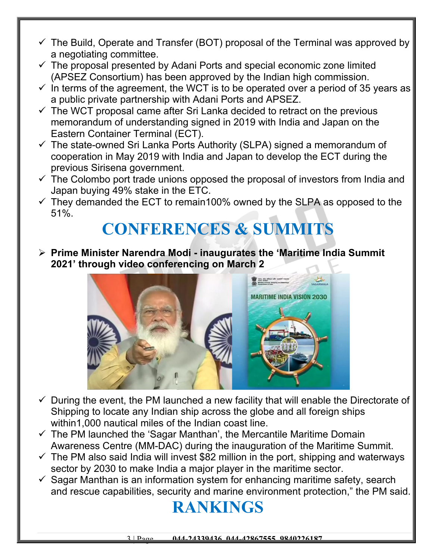- $\checkmark$  The Build, Operate and Transfer (BOT) proposal of the Terminal was approved by a negotiating committee.
- $\checkmark$  The proposal presented by Adani Ports and special economic zone limited (APSEZ Consortium) has been approved by the Indian high commission.
- $\checkmark$  In terms of the agreement, the WCT is to be operated over a period of 35 years as a public private partnership with Adani Ports and APSEZ.
- $\checkmark$  The WCT proposal came after Sri Lanka decided to retract on the previous memorandum of understanding signed in 2019 with India and Japan on the Eastern Container Terminal (ECT).
- $\checkmark$  The state-owned Sri Lanka Ports Authority (SLPA) signed a memorandum of cooperation in May 2019 with India and Japan to develop the ECT during the previous Sirisena government.
- $\checkmark$  The Colombo port trade unions opposed the proposal of investors from India and Japan buying 49% stake in the ETC.
- $\checkmark$  They demanded the ECT to remain100% owned by the SLPA as opposed to the 51%.

#### **CONFERENCES & SUMMITS**

 **Prime Minister Narendra Modi - inaugurates the 'Maritime India Summit 2021' through video conferencing on March 2**



- $\checkmark$  During the event, the PM launched a new facility that will enable the Directorate of Shipping to locate any Indian ship across the globe and all foreign ships within1,000 nautical miles of the Indian coast line.
- $\checkmark$  The PM launched the 'Sagar Manthan', the Mercantile Maritime Domain Awareness Centre (MM-DAC) during the inauguration of the Maritime Summit.
- $\checkmark$  The PM also said India will invest \$82 million in the port, shipping and waterways sector by 2030 to make India a major player in the maritime sector.
- $\checkmark$  Sagar Manthan is an information system for enhancing maritime safety, search and rescue capabilities, security and marine environment protection," the PM said.

#### **RANKINGS**

3 | Page **044-24339436, 044-42867555, 9840226187**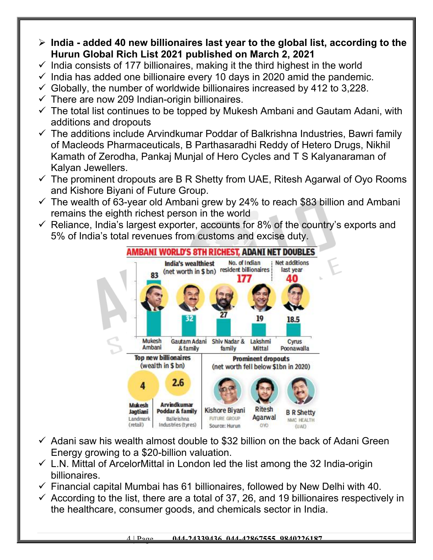- **India added 40 new billionaires last year to the global list, according to the Hurun Global Rich List 2021 published on March 2, 2021**
- $\checkmark$  India consists of 177 billionaires, making it the third highest in the world
- $\checkmark$  India has added one billionaire every 10 days in 2020 amid the pandemic.
- $\checkmark$  Globally, the number of worldwide billionaires increased by 412 to 3,228.
- $\checkmark$  There are now 209 Indian-origin billionaires.
- $\checkmark$  The total list continues to be topped by Mukesh Ambani and Gautam Adani, with additions and dropouts
- $\checkmark$  The additions include Arvindkumar Poddar of Balkrishna Industries, Bawri family of Macleods Pharmaceuticals, B Parthasaradhi Reddy of Hetero Drugs, Nikhil Kamath of Zerodha, Pankaj Munjal of Hero Cycles and T S Kalyanaraman of Kalyan Jewellers.
- $\checkmark$  The prominent dropouts are B R Shetty from UAE, Ritesh Agarwal of Oyo Rooms and Kishore Biyani of Future Group.
- $\checkmark$  The wealth of 63-year old Ambani grew by 24% to reach \$83 billion and Ambani remains the eighth richest person in the world
- $\checkmark$  Reliance, India's largest exporter, accounts for 8% of the country's exports and 5% of India's total revenues from customs and excise duty.



- $\checkmark$  Adani saw his wealth almost double to \$32 billion on the back of Adani Green Energy growing to a \$20-billion valuation.
- $\checkmark$  L.N. Mittal of ArcelorMittal in London led the list among the 32 India-origin billionaires.
- $\checkmark$  Financial capital Mumbai has 61 billionaires, followed by New Delhi with 40.
- $\checkmark$  According to the list, there are a total of 37, 26, and 19 billionaires respectively in the healthcare, consumer goods, and chemicals sector in India.